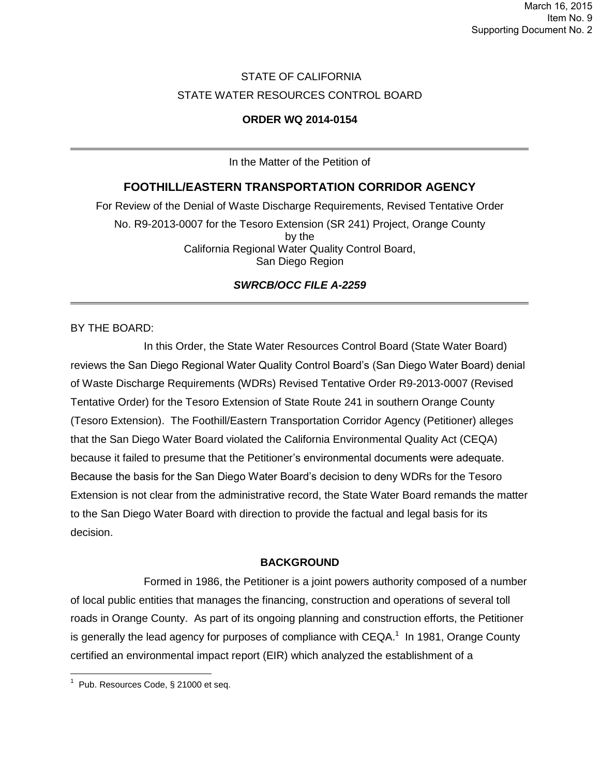# STATE OF CALIFORNIA STATE WATER RESOURCES CONTROL BOARD

## **ORDER WQ 2014-0154**

In the Matter of the Petition of

# **FOOTHILL/EASTERN TRANSPORTATION CORRIDOR AGENCY**

For Review of the Denial of Waste Discharge Requirements, Revised Tentative Order No. R9-2013-0007 for the Tesoro Extension (SR 241) Project, Orange County by the California Regional Water Quality Control Board, San Diego Region

# *SWRCB/OCC FILE A-2259*

BY THE BOARD:

In this Order, the State Water Resources Control Board (State Water Board) reviews the San Diego Regional Water Quality Control Board's (San Diego Water Board) denial of Waste Discharge Requirements (WDRs) Revised Tentative Order R9-2013-0007 (Revised Tentative Order) for the Tesoro Extension of State Route 241 in southern Orange County (Tesoro Extension). The Foothill/Eastern Transportation Corridor Agency (Petitioner) alleges that the San Diego Water Board violated the California Environmental Quality Act (CEQA) because it failed to presume that the Petitioner's environmental documents were adequate. Because the basis for the San Diego Water Board's decision to deny WDRs for the Tesoro Extension is not clear from the administrative record, the State Water Board remands the matter to the San Diego Water Board with direction to provide the factual and legal basis for its decision.

#### **BACKGROUND**

Formed in 1986, the Petitioner is a joint powers authority composed of a number of local public entities that manages the financing, construction and operations of several toll roads in Orange County. As part of its ongoing planning and construction efforts, the Petitioner is generally the lead agency for purposes of compliance with  $CEQA$ <sup>1</sup> In 1981, Orange County certified an environmental impact report (EIR) which analyzed the establishment of a

 $1$  Pub. Resources Code, § 21000 et seq.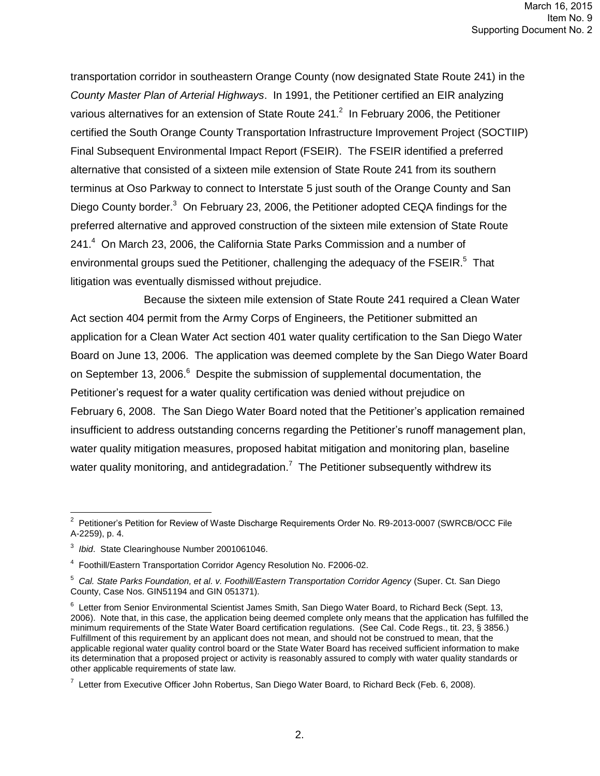transportation corridor in southeastern Orange County (now designated State Route 241) in the *County Master Plan of Arterial Highways*. In 1991, the Petitioner certified an EIR analyzing various alternatives for an extension of State Route 241. $^2$  In February 2006, the Petitioner certified the South Orange County Transportation Infrastructure Improvement Project (SOCTIIP) Final Subsequent Environmental Impact Report (FSEIR). The FSEIR identified a preferred alternative that consisted of a sixteen mile extension of State Route 241 from its southern terminus at Oso Parkway to connect to Interstate 5 just south of the Orange County and San Diego County border.<sup>3</sup> On February 23, 2006, the Petitioner adopted CEQA findings for the preferred alternative and approved construction of the sixteen mile extension of State Route 241.<sup>4</sup> On March 23, 2006, the California State Parks Commission and a number of environmental groups sued the Petitioner, challenging the adequacy of the  $\mathsf{FSEIR}$ .<sup>5</sup> That litigation was eventually dismissed without prejudice.

Because the sixteen mile extension of State Route 241 required a Clean Water Act section 404 permit from the Army Corps of Engineers, the Petitioner submitted an application for a Clean Water Act section 401 water quality certification to the San Diego Water Board on June 13, 2006. The application was deemed complete by the San Diego Water Board on September 13, 2006.<sup>6</sup> Despite the submission of supplemental documentation, the Petitioner's request for a water quality certification was denied without prejudice on February 6, 2008. The San Diego Water Board noted that the Petitioner's application remained insufficient to address outstanding concerns regarding the Petitioner's runoff management plan, water quality mitigation measures, proposed habitat mitigation and monitoring plan, baseline water quality monitoring, and antidegradation.<sup>7</sup> The Petitioner subsequently withdrew its

 2 Petitioner's Petition for Review of Waste Discharge Requirements Order No. R9-2013-0007 (SWRCB/OCC File A-2259), p. 4.

<sup>3</sup> *Ibid*. State Clearinghouse Number 2001061046.

<sup>&</sup>lt;sup>4</sup> Foothill/Eastern Transportation Corridor Agency Resolution No. F2006-02.

<sup>&</sup>lt;sup>5</sup> Cal. State Parks Foundation, et al. v. Foothill/Eastern Transportation Corridor Agency (Super. Ct. San Diego County, Case Nos. GIN51194 and GIN 051371).

<sup>&</sup>lt;sup>6</sup> Letter from Senior Environmental Scientist James Smith, San Diego Water Board, to Richard Beck (Sept. 13, 2006). Note that, in this case, the application being deemed complete only means that the application has fulfilled the minimum requirements of the State Water Board certification regulations. (See Cal. Code Regs., tit. 23, § 3856.) Fulfillment of this requirement by an applicant does not mean, and should not be construed to mean, that the applicable regional water quality control board or the State Water Board has received sufficient information to make its determination that a proposed project or activity is reasonably assured to comply with water quality standards or other applicable requirements of state law.

 $^7$  Letter from Executive Officer John Robertus, San Diego Water Board, to Richard Beck (Feb. 6, 2008).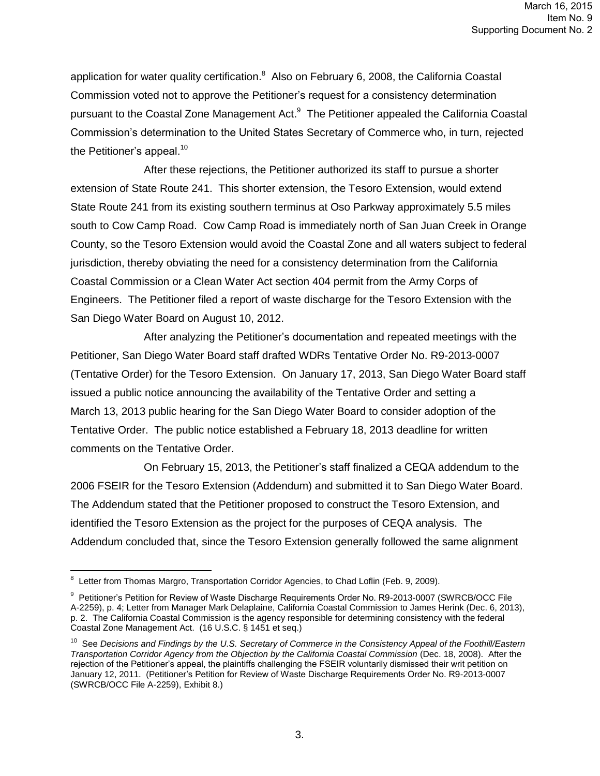application for water quality certification.<sup>8</sup> Also on February 6, 2008, the California Coastal Commission voted not to approve the Petitioner's request for a consistency determination pursuant to the Coastal Zone Management Act.<sup>9</sup> The Petitioner appealed the California Coastal Commission's determination to the United States Secretary of Commerce who, in turn, rejected the Petitioner's appeal. $10$ 

After these rejections, the Petitioner authorized its staff to pursue a shorter extension of State Route 241. This shorter extension, the Tesoro Extension, would extend State Route 241 from its existing southern terminus at Oso Parkway approximately 5.5 miles south to Cow Camp Road. Cow Camp Road is immediately north of San Juan Creek in Orange County, so the Tesoro Extension would avoid the Coastal Zone and all waters subject to federal jurisdiction, thereby obviating the need for a consistency determination from the California Coastal Commission or a Clean Water Act section 404 permit from the Army Corps of Engineers. The Petitioner filed a report of waste discharge for the Tesoro Extension with the San Diego Water Board on August 10, 2012.

After analyzing the Petitioner's documentation and repeated meetings with the Petitioner, San Diego Water Board staff drafted WDRs Tentative Order No. R9-2013-0007 (Tentative Order) for the Tesoro Extension. On January 17, 2013, San Diego Water Board staff issued a public notice announcing the availability of the Tentative Order and setting a March 13, 2013 public hearing for the San Diego Water Board to consider adoption of the Tentative Order. The public notice established a February 18, 2013 deadline for written comments on the Tentative Order.

On February 15, 2013, the Petitioner's staff finalized a CEQA addendum to the 2006 FSEIR for the Tesoro Extension (Addendum) and submitted it to San Diego Water Board. The Addendum stated that the Petitioner proposed to construct the Tesoro Extension, and identified the Tesoro Extension as the project for the purposes of CEQA analysis. The Addendum concluded that, since the Tesoro Extension generally followed the same alignment

<sup>&</sup>lt;sup>8</sup> Letter from Thomas Margro, Transportation Corridor Agencies, to Chad Loflin (Feb. 9, 2009).

<sup>&</sup>lt;sup>9</sup> Petitioner's Petition for Review of Waste Discharge Requirements Order No. R9-2013-0007 (SWRCB/OCC File A-2259), p. 4; Letter from Manager Mark Delaplaine, California Coastal Commission to James Herink (Dec. 6, 2013), p. 2. The California Coastal Commission is the agency responsible for determining consistency with the federal Coastal Zone Management Act. (16 U.S.C. § 1451 et seq.)

<sup>&</sup>lt;sup>10</sup> See *Decisions and Findings by the U.S. Secretary of Commerce in the Consistency Appeal of the Foothill/Eastern Transportation Corridor Agency from the Objection by the California Coastal Commission* (Dec. 18, 2008). After the rejection of the Petitioner's appeal, the plaintiffs challenging the FSEIR voluntarily dismissed their writ petition on January 12, 2011. (Petitioner's Petition for Review of Waste Discharge Requirements Order No. R9-2013-0007 (SWRCB/OCC File A-2259), Exhibit 8.)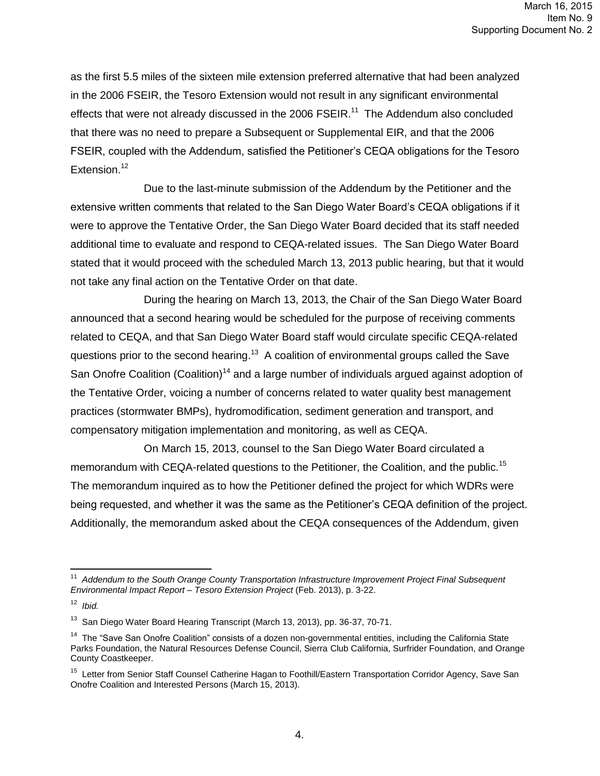as the first 5.5 miles of the sixteen mile extension preferred alternative that had been analyzed in the 2006 FSEIR, the Tesoro Extension would not result in any significant environmental effects that were not already discussed in the 2006  $FSEIR.^{11}$  The Addendum also concluded that there was no need to prepare a Subsequent or Supplemental EIR, and that the 2006 FSEIR, coupled with the Addendum, satisfied the Petitioner's CEQA obligations for the Tesoro Extension.<sup>12</sup>

Due to the last-minute submission of the Addendum by the Petitioner and the extensive written comments that related to the San Diego Water Board's CEQA obligations if it were to approve the Tentative Order, the San Diego Water Board decided that its staff needed additional time to evaluate and respond to CEQA-related issues. The San Diego Water Board stated that it would proceed with the scheduled March 13, 2013 public hearing, but that it would not take any final action on the Tentative Order on that date.

During the hearing on March 13, 2013, the Chair of the San Diego Water Board announced that a second hearing would be scheduled for the purpose of receiving comments related to CEQA, and that San Diego Water Board staff would circulate specific CEQA-related questions prior to the second hearing.<sup>13</sup> A coalition of environmental groups called the Save San Onofre Coalition (Coalition)<sup>14</sup> and a large number of individuals argued against adoption of the Tentative Order, voicing a number of concerns related to water quality best management practices (stormwater BMPs), hydromodification, sediment generation and transport, and compensatory mitigation implementation and monitoring, as well as CEQA.

On March 15, 2013, counsel to the San Diego Water Board circulated a memorandum with CEQA-related questions to the Petitioner, the Coalition, and the public.<sup>15</sup> The memorandum inquired as to how the Petitioner defined the project for which WDRs were being requested, and whether it was the same as the Petitioner's CEQA definition of the project. Additionally, the memorandum asked about the CEQA consequences of the Addendum, given

<sup>&</sup>lt;sup>11</sup> Addendum to the South Orange County Transportation Infrastructure Improvement Project Final Subsequent *Environmental Impact Report – Tesoro Extension Project* (Feb. 2013), p. 3-22.

<sup>12</sup> *Ibid.*

<sup>&</sup>lt;sup>13</sup> San Diego Water Board Hearing Transcript (March 13, 2013), pp. 36-37, 70-71.

<sup>&</sup>lt;sup>14</sup> The "Save San Onofre Coalition" consists of a dozen non-governmental entities, including the California State Parks Foundation, the Natural Resources Defense Council, Sierra Club California, Surfrider Foundation, and Orange County Coastkeeper.

<sup>&</sup>lt;sup>15</sup> Letter from Senior Staff Counsel Catherine Hagan to Foothill/Eastern Transportation Corridor Agency, Save San Onofre Coalition and Interested Persons (March 15, 2013).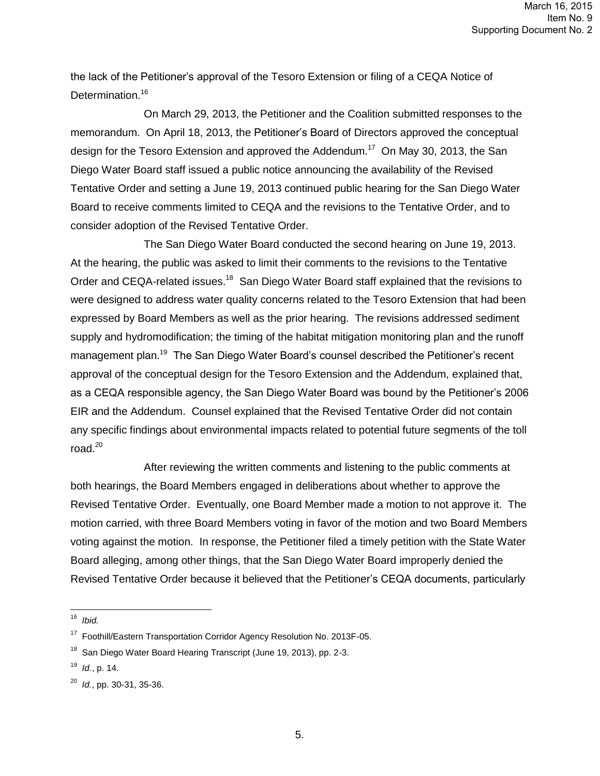the lack of the Petitioner's approval of the Tesoro Extension or filing of a CEQA Notice of Determination.<sup>16</sup>

On March 29, 2013, the Petitioner and the Coalition submitted responses to the memorandum. On April 18, 2013, the Petitioner's Board of Directors approved the conceptual design for the Tesoro Extension and approved the Addendum.<sup>17</sup> On May 30, 2013, the San Diego Water Board staff issued a public notice announcing the availability of the Revised Tentative Order and setting a June 19, 2013 continued public hearing for the San Diego Water Board to receive comments limited to CEQA and the revisions to the Tentative Order, and to consider adoption of the Revised Tentative Order.

The San Diego Water Board conducted the second hearing on June 19, 2013. At the hearing, the public was asked to limit their comments to the revisions to the Tentative Order and CEQA-related issues.<sup>18</sup> San Diego Water Board staff explained that the revisions to were designed to address water quality concerns related to the Tesoro Extension that had been expressed by Board Members as well as the prior hearing. The revisions addressed sediment supply and hydromodification; the timing of the habitat mitigation monitoring plan and the runoff management plan.<sup>19</sup> The San Diego Water Board's counsel described the Petitioner's recent approval of the conceptual design for the Tesoro Extension and the Addendum, explained that, as a CEQA responsible agency, the San Diego Water Board was bound by the Petitioner's 2006 EIR and the Addendum. Counsel explained that the Revised Tentative Order did not contain any specific findings about environmental impacts related to potential future segments of the toll road. $20$ 

After reviewing the written comments and listening to the public comments at both hearings, the Board Members engaged in deliberations about whether to approve the Revised Tentative Order. Eventually, one Board Member made a motion to not approve it. The motion carried, with three Board Members voting in favor of the motion and two Board Members voting against the motion. In response, the Petitioner filed a timely petition with the State Water Board alleging, among other things, that the San Diego Water Board improperly denied the Revised Tentative Order because it believed that the Petitioner's CEQA documents, particularly

 16 *Ibid.*

<sup>&</sup>lt;sup>17</sup> Foothill/Eastern Transportation Corridor Agency Resolution No. 2013F-05.

<sup>&</sup>lt;sup>18</sup> San Diego Water Board Hearing Transcript (June 19, 2013), pp. 2-3.

<sup>19</sup> *Id.*, p. 14.

<sup>20</sup> *Id.*, pp. 30-31, 35-36.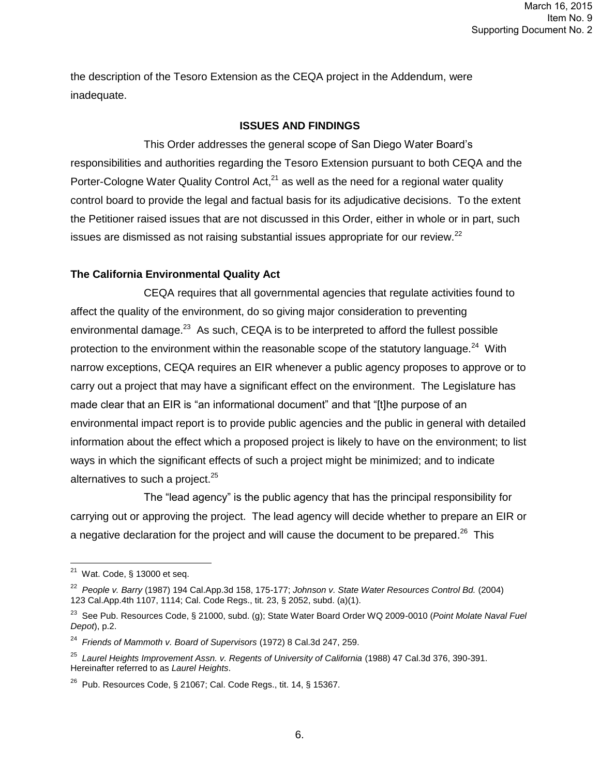the description of the Tesoro Extension as the CEQA project in the Addendum, were inadequate.

#### **ISSUES AND FINDINGS**

This Order addresses the general scope of San Diego Water Board's responsibilities and authorities regarding the Tesoro Extension pursuant to both CEQA and the Porter-Cologne Water Quality Control Act, $^{21}$  as well as the need for a regional water quality control board to provide the legal and factual basis for its adjudicative decisions. To the extent the Petitioner raised issues that are not discussed in this Order, either in whole or in part, such issues are dismissed as not raising substantial issues appropriate for our review.<sup>22</sup>

## **The California Environmental Quality Act**

CEQA requires that all governmental agencies that regulate activities found to affect the quality of the environment, do so giving major consideration to preventing environmental damage.<sup>23</sup> As such, CEQA is to be interpreted to afford the fullest possible protection to the environment within the reasonable scope of the statutory language.<sup>24</sup> With narrow exceptions, CEQA requires an EIR whenever a public agency proposes to approve or to carry out a project that may have a significant effect on the environment. The Legislature has made clear that an EIR is "an informational document" and that "[t]he purpose of an environmental impact report is to provide public agencies and the public in general with detailed information about the effect which a proposed project is likely to have on the environment; to list ways in which the significant effects of such a project might be minimized; and to indicate alternatives to such a project. $25$ 

The "lead agency" is the public agency that has the principal responsibility for carrying out or approving the project. The lead agency will decide whether to prepare an EIR or a negative declaration for the project and will cause the document to be prepared.<sup>26</sup> This

 $\overline{a^2}$  Wat. Code, § 13000 et seq.

<sup>22</sup> *People v. Barry* (1987) 194 Cal.App.3d 158, 175-177; *Johnson v. State Water Resources Control Bd.* (2004) 123 Cal.App.4th 1107, 1114; Cal. Code Regs., tit. 23, § 2052, subd. (a)(1).

<sup>23</sup> See Pub. Resources Code, § 21000, subd. (g); State Water Board Order WQ 2009-0010 (*Point Molate Naval Fuel Depot*), p.2.

<sup>24</sup> *Friends of Mammoth v. Board of Supervisors* (1972) 8 Cal.3d 247, 259.

<sup>&</sup>lt;sup>25</sup> Laurel Heights Improvement Assn. v. Regents of University of California (1988) 47 Cal.3d 376, 390-391. Hereinafter referred to as *Laurel Heights*.

 $^{26}$  Pub. Resources Code, § 21067; Cal. Code Regs., tit. 14, § 15367.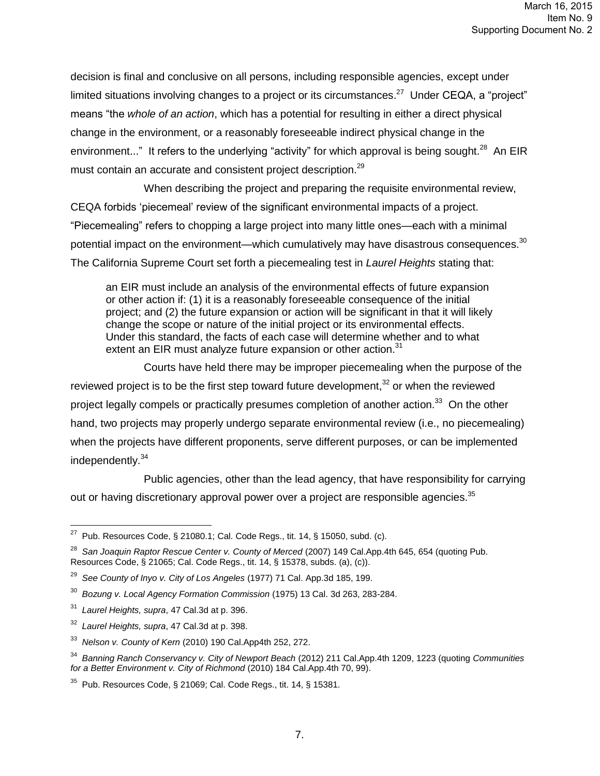decision is final and conclusive on all persons, including responsible agencies, except under limited situations involving changes to a project or its circumstances.<sup>27</sup> Under CEQA, a "project" means "the *whole of an action*, which has a potential for resulting in either a direct physical change in the environment, or a reasonably foreseeable indirect physical change in the environment..." It refers to the underlying "activity" for which approval is being sought.<sup>28</sup> An EIR must contain an accurate and consistent project description.<sup>29</sup>

When describing the project and preparing the requisite environmental review, CEQA forbids 'piecemeal' review of the significant environmental impacts of a project. "Piecemealing" refers to chopping a large project into many little ones—each with a minimal potential impact on the environment—which cumulatively may have disastrous consequences.<sup>30</sup> The California Supreme Court set forth a piecemealing test in *Laurel Heights* stating that:

an EIR must include an analysis of the environmental effects of future expansion or other action if: (1) it is a reasonably foreseeable consequence of the initial project; and (2) the future expansion or action will be significant in that it will likely change the scope or nature of the initial project or its environmental effects. Under this standard, the facts of each case will determine whether and to what extent an EIR must analyze future expansion or other action.<sup>31</sup>

Courts have held there may be improper piecemealing when the purpose of the reviewed project is to be the first step toward future development, $32$  or when the reviewed project legally compels or practically presumes completion of another action.<sup>33</sup> On the other hand, two projects may properly undergo separate environmental review (i.e., no piecemealing) when the projects have different proponents, serve different purposes, or can be implemented independently.<sup>34</sup>

Public agencies, other than the lead agency, that have responsibility for carrying out or having discretionary approval power over a project are responsible agencies. $35$ 

 27 Pub. Resources Code, § 21080.1; Cal. Code Regs., tit. 14, § 15050, subd. (c).

<sup>&</sup>lt;sup>28</sup> San Joaquin Raptor Rescue Center v. County of Merced (2007) 149 Cal.App.4th 645, 654 (quoting Pub. Resources Code, § 21065; Cal. Code Regs., tit. 14, § 15378, subds. (a), (c)).

<sup>29</sup> *See County of Inyo v. City of Los Angeles* (1977) 71 Cal. App.3d 185, 199.

<sup>30</sup> *Bozung v. Local Agency Formation Commission* (1975) 13 Cal. 3d 263, 283-284.

<sup>31</sup> *Laurel Heights, supra*, 47 Cal.3d at p. 396.

<sup>32</sup> *Laurel Heights, supra*, 47 Cal.3d at p. 398.

<sup>33</sup> *Nelson v. County of Kern* (2010) 190 Cal.App4th 252, 272.

<sup>34</sup> *Banning Ranch Conservancy v. City of Newport Beach* (2012) 211 Cal.App.4th 1209, 1223 (quoting *Communities for a Better Environment v. City of Richmond* (2010) 184 Cal.App.4th 70, 99).

 $35$  Pub. Resources Code, § 21069; Cal. Code Regs., tit. 14, § 15381.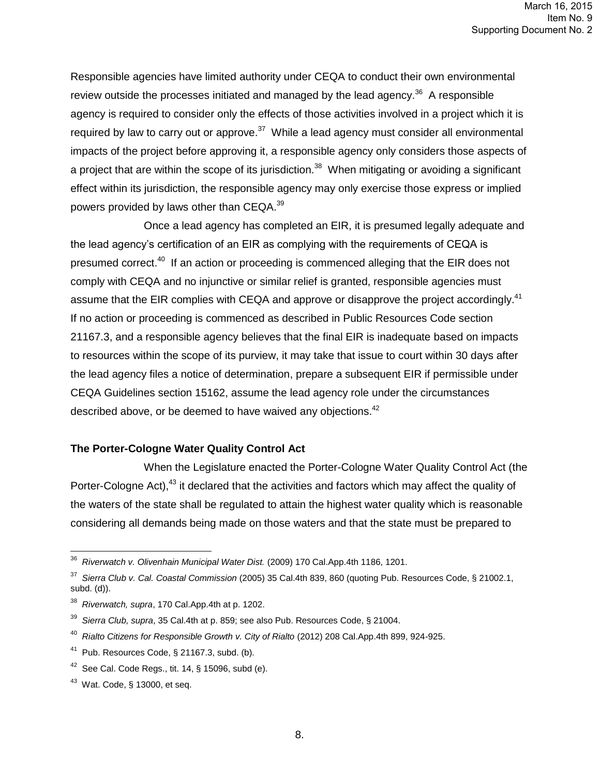Responsible agencies have limited authority under CEQA to conduct their own environmental review outside the processes initiated and managed by the lead agency.<sup>36</sup> A responsible agency is required to consider only the effects of those activities involved in a project which it is required by law to carry out or approve.<sup>37</sup> While a lead agency must consider all environmental impacts of the project before approving it, a responsible agency only considers those aspects of a project that are within the scope of its jurisdiction.<sup>38</sup> When mitigating or avoiding a significant effect within its jurisdiction, the responsible agency may only exercise those express or implied powers provided by laws other than CEQA.<sup>39</sup>

Once a lead agency has completed an EIR, it is presumed legally adequate and the lead agency's certification of an EIR as complying with the requirements of CEQA is presumed correct.<sup>40</sup> If an action or proceeding is commenced alleging that the EIR does not comply with CEQA and no injunctive or similar relief is granted, responsible agencies must assume that the EIR complies with CEQA and approve or disapprove the project accordingly.<sup>41</sup> If no action or proceeding is commenced as described in Public Resources Code section 21167.3, and a responsible agency believes that the final EIR is inadequate based on impacts to resources within the scope of its purview, it may take that issue to court within 30 days after the lead agency files a notice of determination, prepare a subsequent EIR if permissible under CEQA Guidelines section 15162, assume the lead agency role under the circumstances described above, or be deemed to have waived any objections. $42$ 

#### **The Porter-Cologne Water Quality Control Act**

When the Legislature enacted the Porter-Cologne Water Quality Control Act (the Porter-Cologne Act),<sup>43</sup> it declared that the activities and factors which may affect the quality of the waters of the state shall be regulated to attain the highest water quality which is reasonable considering all demands being made on those waters and that the state must be prepared to

 36 *Riverwatch v. Olivenhain Municipal Water Dist.* (2009) 170 Cal.App.4th 1186, 1201.

<sup>37</sup> *Sierra Club v. Cal. Coastal Commission* (2005) 35 Cal.4th 839, 860 (quoting Pub. Resources Code, § 21002.1, subd. (d)).

<sup>38</sup> *Riverwatch, supra*, 170 Cal.App.4th at p. 1202.

<sup>39</sup> *Sierra Club, supra*, 35 Cal.4th at p. 859; see also Pub. Resources Code, § 21004.

<sup>40</sup> *Rialto Citizens for Responsible Growth v. City of Rialto* (2012) 208 Cal.App.4th 899, 924-925.

 $41$  Pub. Resources Code, § 21167.3, subd. (b).

 $42$  See Cal. Code Regs., tit. 14, § 15096, subd (e).

 $43$  Wat. Code, § 13000, et seq.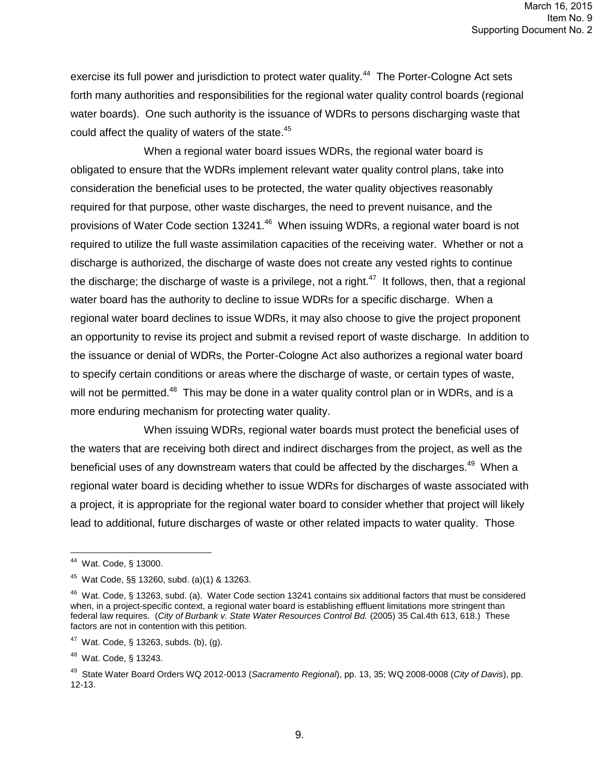exercise its full power and jurisdiction to protect water quality.<sup>44</sup> The Porter-Cologne Act sets forth many authorities and responsibilities for the regional water quality control boards (regional water boards). One such authority is the issuance of WDRs to persons discharging waste that could affect the quality of waters of the state.<sup>45</sup>

When a regional water board issues WDRs, the regional water board is obligated to ensure that the WDRs implement relevant water quality control plans, take into consideration the beneficial uses to be protected, the water quality objectives reasonably required for that purpose, other waste discharges, the need to prevent nuisance, and the provisions of Water Code section 13241.<sup>46</sup> When issuing WDRs, a regional water board is not required to utilize the full waste assimilation capacities of the receiving water. Whether or not a discharge is authorized, the discharge of waste does not create any vested rights to continue the discharge; the discharge of waste is a privilege, not a right. $47$  It follows, then, that a regional water board has the authority to decline to issue WDRs for a specific discharge. When a regional water board declines to issue WDRs, it may also choose to give the project proponent an opportunity to revise its project and submit a revised report of waste discharge. In addition to the issuance or denial of WDRs, the Porter-Cologne Act also authorizes a regional water board to specify certain conditions or areas where the discharge of waste, or certain types of waste, will not be permitted.<sup>48</sup> This may be done in a water quality control plan or in WDRs, and is a more enduring mechanism for protecting water quality.

When issuing WDRs, regional water boards must protect the beneficial uses of the waters that are receiving both direct and indirect discharges from the project, as well as the beneficial uses of any downstream waters that could be affected by the discharges.<sup>49</sup> When a regional water board is deciding whether to issue WDRs for discharges of waste associated with a project, it is appropriate for the regional water board to consider whether that project will likely lead to additional, future discharges of waste or other related impacts to water quality. Those

 44 Wat. Code, § 13000.

<sup>45</sup> Wat Code, §§ 13260, subd. (a)(1) & 13263.

<sup>&</sup>lt;sup>46</sup> Wat. Code, § 13263, subd. (a). Water Code section 13241 contains six additional factors that must be considered when, in a project-specific context, a regional water board is establishing effluent limitations more stringent than federal law requires. (*City of Burbank v. State Water Resources Control Bd.* (2005) 35 Cal.4th 613, 618.) These factors are not in contention with this petition.

 $47$  Wat. Code, § 13263, subds. (b), (g).

<sup>&</sup>lt;sup>48</sup> Wat. Code, § 13243.

<sup>49</sup> State Water Board Orders WQ 2012-0013 (*Sacramento Regional*), pp. 13, 35; WQ 2008-0008 (*City of Davis*), pp. 12-13.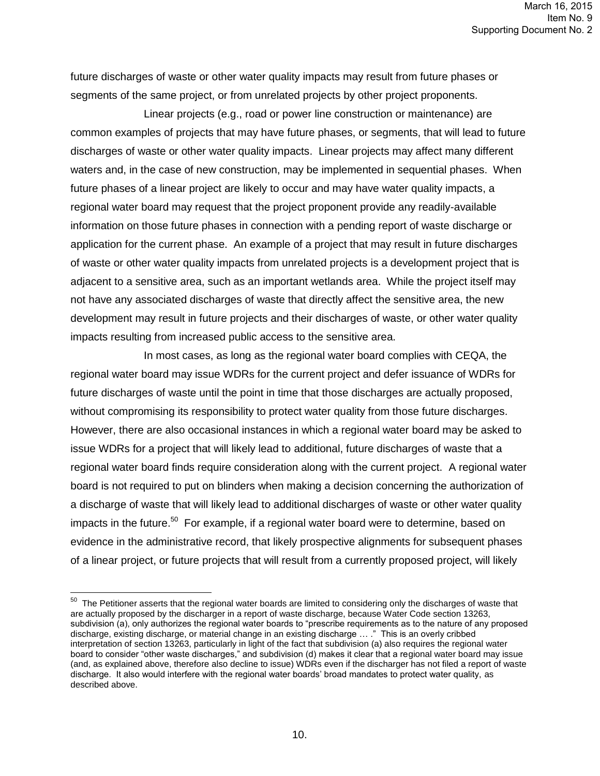future discharges of waste or other water quality impacts may result from future phases or segments of the same project, or from unrelated projects by other project proponents.

Linear projects (e.g., road or power line construction or maintenance) are common examples of projects that may have future phases, or segments, that will lead to future discharges of waste or other water quality impacts. Linear projects may affect many different waters and, in the case of new construction, may be implemented in sequential phases. When future phases of a linear project are likely to occur and may have water quality impacts, a regional water board may request that the project proponent provide any readily-available information on those future phases in connection with a pending report of waste discharge or application for the current phase. An example of a project that may result in future discharges of waste or other water quality impacts from unrelated projects is a development project that is adjacent to a sensitive area, such as an important wetlands area. While the project itself may not have any associated discharges of waste that directly affect the sensitive area, the new development may result in future projects and their discharges of waste, or other water quality impacts resulting from increased public access to the sensitive area.

In most cases, as long as the regional water board complies with CEQA, the regional water board may issue WDRs for the current project and defer issuance of WDRs for future discharges of waste until the point in time that those discharges are actually proposed, without compromising its responsibility to protect water quality from those future discharges. However, there are also occasional instances in which a regional water board may be asked to issue WDRs for a project that will likely lead to additional, future discharges of waste that a regional water board finds require consideration along with the current project. A regional water board is not required to put on blinders when making a decision concerning the authorization of a discharge of waste that will likely lead to additional discharges of waste or other water quality impacts in the future.<sup>50</sup> For example, if a regional water board were to determine, based on evidence in the administrative record, that likely prospective alignments for subsequent phases of a linear project, or future projects that will result from a currently proposed project, will likely

 $50$  The Petitioner asserts that the regional water boards are limited to considering only the discharges of waste that are actually proposed by the discharger in a report of waste discharge, because Water Code section 13263, subdivision (a), only authorizes the regional water boards to "prescribe requirements as to the nature of any proposed discharge, existing discharge, or material change in an existing discharge … ." This is an overly cribbed interpretation of section 13263, particularly in light of the fact that subdivision (a) also requires the regional water board to consider "other waste discharges," and subdivision (d) makes it clear that a regional water board may issue (and, as explained above, therefore also decline to issue) WDRs even if the discharger has not filed a report of waste discharge. It also would interfere with the regional water boards' broad mandates to protect water quality, as described above.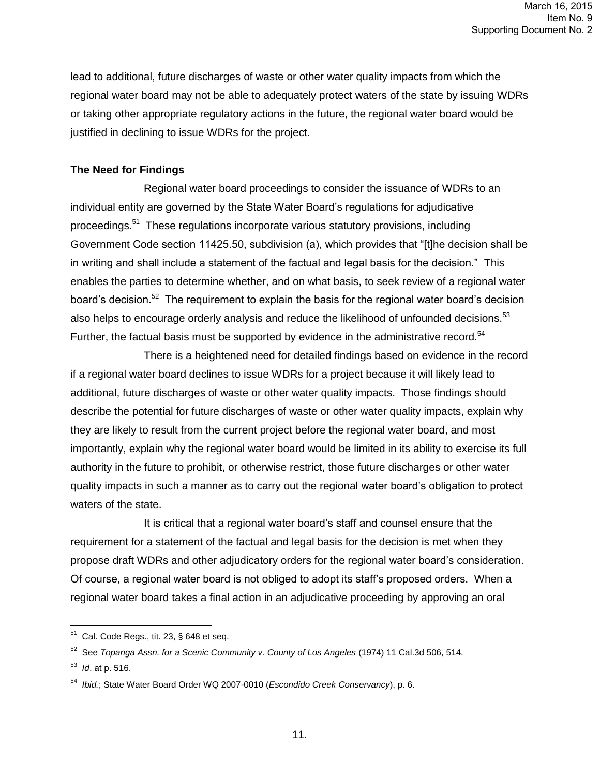lead to additional, future discharges of waste or other water quality impacts from which the regional water board may not be able to adequately protect waters of the state by issuing WDRs or taking other appropriate regulatory actions in the future, the regional water board would be justified in declining to issue WDRs for the project.

# **The Need for Findings**

Regional water board proceedings to consider the issuance of WDRs to an individual entity are governed by the State Water Board's regulations for adjudicative proceedings.<sup>51</sup> These regulations incorporate various statutory provisions, including Government Code section 11425.50, subdivision (a), which provides that "[t]he decision shall be in writing and shall include a statement of the factual and legal basis for the decision." This enables the parties to determine whether, and on what basis, to seek review of a regional water board's decision.<sup>52</sup> The requirement to explain the basis for the regional water board's decision also helps to encourage orderly analysis and reduce the likelihood of unfounded decisions.<sup>53</sup> Further, the factual basis must be supported by evidence in the administrative record.<sup>54</sup>

There is a heightened need for detailed findings based on evidence in the record if a regional water board declines to issue WDRs for a project because it will likely lead to additional, future discharges of waste or other water quality impacts. Those findings should describe the potential for future discharges of waste or other water quality impacts, explain why they are likely to result from the current project before the regional water board, and most importantly, explain why the regional water board would be limited in its ability to exercise its full authority in the future to prohibit, or otherwise restrict, those future discharges or other water quality impacts in such a manner as to carry out the regional water board's obligation to protect waters of the state.

It is critical that a regional water board's staff and counsel ensure that the requirement for a statement of the factual and legal basis for the decision is met when they propose draft WDRs and other adjudicatory orders for the regional water board's consideration. Of course, a regional water board is not obliged to adopt its staff's proposed orders. When a regional water board takes a final action in an adjudicative proceeding by approving an oral

 51 Cal. Code Regs., tit. 23, § 648 et seq.

<sup>52</sup> See *Topanga Assn. for a Scenic Community v. County of Los Angeles* (1974) 11 Cal.3d 506, 514.

<sup>53</sup> *Id*. at p. 516.

<sup>54</sup> *Ibid.*; State Water Board Order WQ 2007-0010 (*Escondido Creek Conservancy*), p. 6.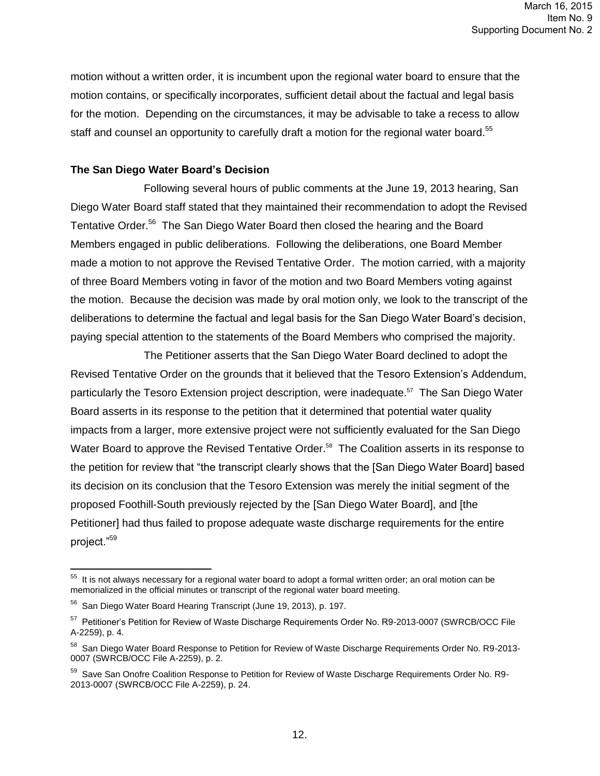motion without a written order, it is incumbent upon the regional water board to ensure that the motion contains, or specifically incorporates, sufficient detail about the factual and legal basis for the motion. Depending on the circumstances, it may be advisable to take a recess to allow staff and counsel an opportunity to carefully draft a motion for the regional water board.<sup>55</sup>

#### **The San Diego Water Board's Decision**

Following several hours of public comments at the June 19, 2013 hearing, San Diego Water Board staff stated that they maintained their recommendation to adopt the Revised Tentative Order.<sup>56</sup> The San Diego Water Board then closed the hearing and the Board Members engaged in public deliberations. Following the deliberations, one Board Member made a motion to not approve the Revised Tentative Order. The motion carried, with a majority of three Board Members voting in favor of the motion and two Board Members voting against the motion. Because the decision was made by oral motion only, we look to the transcript of the deliberations to determine the factual and legal basis for the San Diego Water Board's decision, paying special attention to the statements of the Board Members who comprised the majority.

The Petitioner asserts that the San Diego Water Board declined to adopt the Revised Tentative Order on the grounds that it believed that the Tesoro Extension's Addendum, particularly the Tesoro Extension project description, were inadequate.<sup>57</sup> The San Diego Water Board asserts in its response to the petition that it determined that potential water quality impacts from a larger, more extensive project were not sufficiently evaluated for the San Diego Water Board to approve the Revised Tentative Order.<sup>58</sup> The Coalition asserts in its response to the petition for review that "the transcript clearly shows that the [San Diego Water Board] based its decision on its conclusion that the Tesoro Extension was merely the initial segment of the proposed Foothill-South previously rejected by the [San Diego Water Board], and [the Petitioner] had thus failed to propose adequate waste discharge requirements for the entire project."<sup>59</sup>

 55 It is not always necessary for a regional water board to adopt a formal written order; an oral motion can be memorialized in the official minutes or transcript of the regional water board meeting.

<sup>&</sup>lt;sup>56</sup> San Diego Water Board Hearing Transcript (June 19, 2013), p. 197.

<sup>&</sup>lt;sup>57</sup> Petitioner's Petition for Review of Waste Discharge Requirements Order No. R9-2013-0007 (SWRCB/OCC File A-2259), p. 4.

<sup>&</sup>lt;sup>58</sup> San Diego Water Board Response to Petition for Review of Waste Discharge Requirements Order No. R9-2013-0007 (SWRCB/OCC File A-2259), p. 2.

<sup>&</sup>lt;sup>59</sup> Save San Onofre Coalition Response to Petition for Review of Waste Discharge Requirements Order No. R9-2013-0007 (SWRCB/OCC File A-2259), p. 24.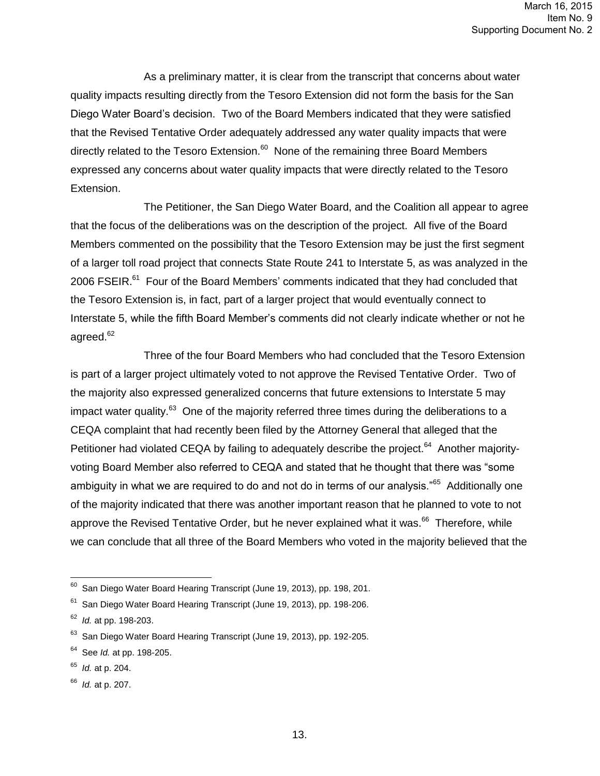As a preliminary matter, it is clear from the transcript that concerns about water quality impacts resulting directly from the Tesoro Extension did not form the basis for the San Diego Water Board's decision. Two of the Board Members indicated that they were satisfied that the Revised Tentative Order adequately addressed any water quality impacts that were directly related to the Tesoro Extension.<sup>60</sup> None of the remaining three Board Members expressed any concerns about water quality impacts that were directly related to the Tesoro Extension.

The Petitioner, the San Diego Water Board, and the Coalition all appear to agree that the focus of the deliberations was on the description of the project. All five of the Board Members commented on the possibility that the Tesoro Extension may be just the first segment of a larger toll road project that connects State Route 241 to Interstate 5, as was analyzed in the 2006 FSEIR.<sup>61</sup> Four of the Board Members' comments indicated that they had concluded that the Tesoro Extension is, in fact, part of a larger project that would eventually connect to Interstate 5, while the fifth Board Member's comments did not clearly indicate whether or not he agreed.<sup>62</sup>

Three of the four Board Members who had concluded that the Tesoro Extension is part of a larger project ultimately voted to not approve the Revised Tentative Order. Two of the majority also expressed generalized concerns that future extensions to Interstate 5 may impact water quality.<sup>63</sup> One of the majority referred three times during the deliberations to a CEQA complaint that had recently been filed by the Attorney General that alleged that the Petitioner had violated CEQA by failing to adequately describe the project.<sup>64</sup> Another majorityvoting Board Member also referred to CEQA and stated that he thought that there was "some ambiguity in what we are required to do and not do in terms of our analysis."<sup>65</sup> Additionally one of the majority indicated that there was another important reason that he planned to vote to not approve the Revised Tentative Order, but he never explained what it was.<sup>66</sup> Therefore, while we can conclude that all three of the Board Members who voted in the majority believed that the

 60 San Diego Water Board Hearing Transcript (June 19, 2013), pp. 198, 201.

<sup>&</sup>lt;sup>61</sup> San Diego Water Board Hearing Transcript (June 19, 2013), pp. 198-206.

<sup>62</sup> *Id.* at pp. 198-203.

<sup>&</sup>lt;sup>63</sup> San Diego Water Board Hearing Transcript (June 19, 2013), pp. 192-205.

<sup>64</sup> See *Id.* at pp. 198-205.

<sup>65</sup> *Id.* at p. 204.

<sup>66</sup> *Id.* at p. 207.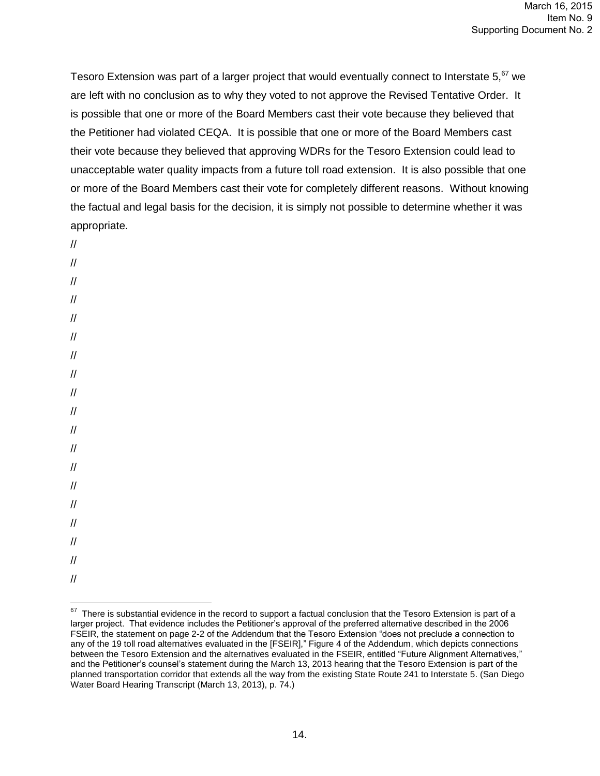Tesoro Extension was part of a larger project that would eventually connect to Interstate  $5<sup>67</sup>$  we are left with no conclusion as to why they voted to not approve the Revised Tentative Order. It is possible that one or more of the Board Members cast their vote because they believed that the Petitioner had violated CEQA. It is possible that one or more of the Board Members cast their vote because they believed that approving WDRs for the Tesoro Extension could lead to unacceptable water quality impacts from a future toll road extension. It is also possible that one or more of the Board Members cast their vote for completely different reasons. Without knowing the factual and legal basis for the decision, it is simply not possible to determine whether it was appropriate.

- //
- // // // // // // // // // // // // // // // // // //

 $\overline{a}$  $67$  There is substantial evidence in the record to support a factual conclusion that the Tesoro Extension is part of a larger project. That evidence includes the Petitioner's approval of the preferred alternative described in the 2006 FSEIR, the statement on page 2-2 of the Addendum that the Tesoro Extension "does not preclude a connection to any of the 19 toll road alternatives evaluated in the [FSEIR]," Figure 4 of the Addendum, which depicts connections between the Tesoro Extension and the alternatives evaluated in the FSEIR, entitled "Future Alignment Alternatives," and the Petitioner's counsel's statement during the March 13, 2013 hearing that the Tesoro Extension is part of the planned transportation corridor that extends all the way from the existing State Route 241 to Interstate 5. (San Diego Water Board Hearing Transcript (March 13, 2013), p. 74.)